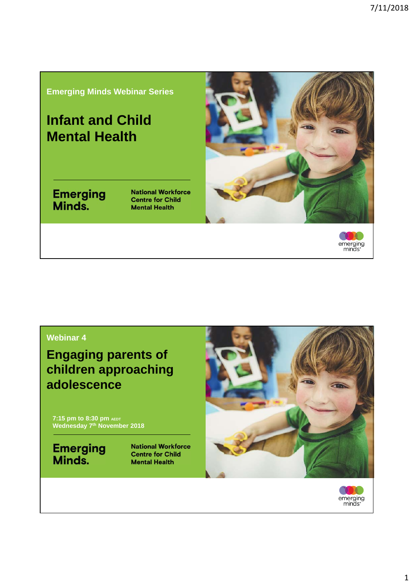#### **Emerging Minds Webinar Series**

## **Infant and Child Mental Health**

Emerging<br>Minds.

**National Workforce Centre for Child Mental Health** 





#### **Webinar 4**

**Engaging parents of children approaching adolescence**

**7:15 pm to 8:30 pm AEDT Wednesday 7th November 2018**

**Emerging**<br>**Minds.** 

**National Workforce Centre for Child Mental Health** 



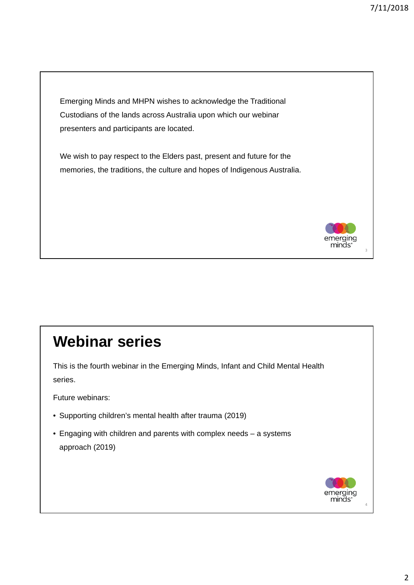Emerging Minds and MHPN wishes to acknowledge the Traditional Custodians of the lands across Australia upon which our webinar presenters and participants are located.

We wish to pay respect to the Elders past, present and future for the memories, the traditions, the culture and hopes of Indigenous Australia.



3

# **Webinar series**

This is the fourth webinar in the Emerging Minds, Infant and Child Mental Health series.

Future webinars:

- Supporting children's mental health after trauma (2019)
- Engaging with children and parents with complex needs a systems approach (2019)

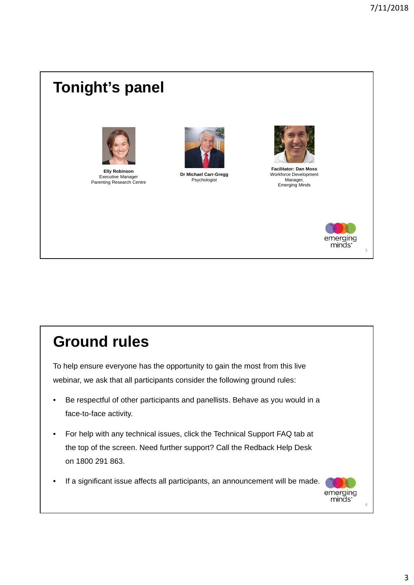# **Tonight's panel**



**Elly Robinson** Executive Manager Parenting Research Centre



**Dr Michael Carr-Gregg** Psychologist



**Facilitator: Dan Moss** Workforce Development Manager, Emerging Minds



5

# **Ground rules**

To help ensure everyone has the opportunity to gain the most from this live webinar, we ask that all participants consider the following ground rules:

- Be respectful of other participants and panellists. Behave as you would in a face-to-face activity.
- For help with any technical issues, click the Technical Support FAQ tab at the top of the screen. Need further support? Call the Redback Help Desk on 1800 291 863.
- If a significant issue affects all participants, an announcement will be made.

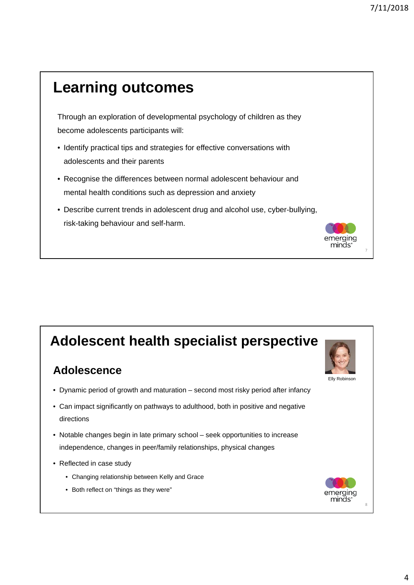7

aina: ninds'

Elly Robinson

emeraina minās:

## Through an exploration of developmental psychology of children as they become adolescents participants will: • Identify practical tips and strategies for effective conversations with adolescents and their parents • Recognise the differences between normal adolescent behaviour and mental health conditions such as depression and anxiety • Describe current trends in adolescent drug and alcohol use, cyber-bullying, risk-taking behaviour and self-harm. **Learning outcomes**

## **Adolescent health specialist perspective**

#### **Adolescence**

- Dynamic period of growth and maturation second most risky period after infancy
- Can impact significantly on pathways to adulthood, both in positive and negative directions
- Notable changes begin in late primary school seek opportunities to increase independence, changes in peer/family relationships, physical changes
- Reflected in case study
	- Changing relationship between Kelly and Grace
	- Both reflect on "things as they were"



8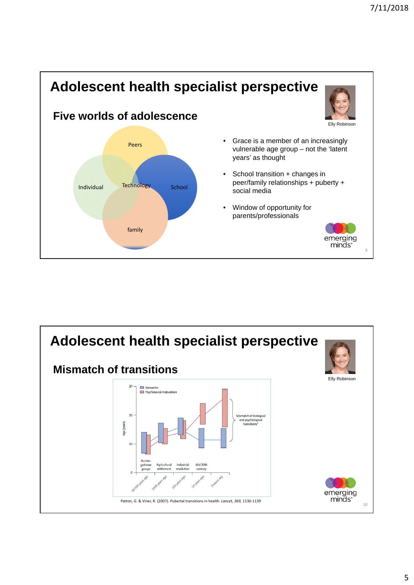

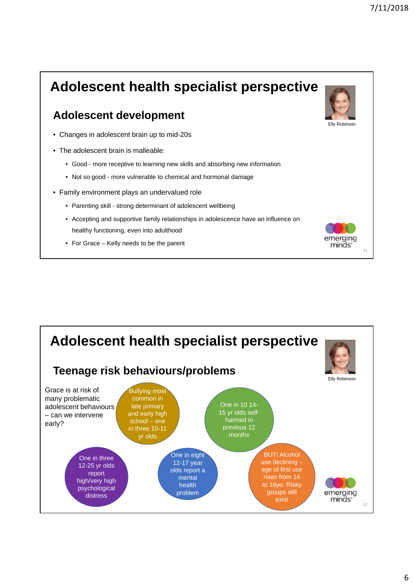

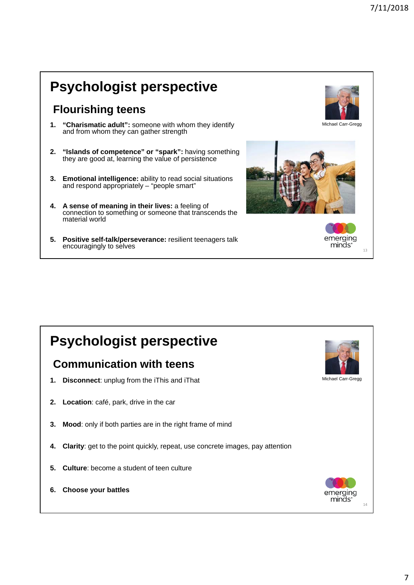# **Psychologist perspective**

#### **Flourishing teens**

- **1. "Charismatic adult":** someone with whom they identify and from whom they can gather strength
- **2. "Islands of competence" or "spark":** having something they are good at, learning the value of persistence
- **3. Emotional intelligence:** ability to read social situations and respond appropriately  $-$  "people smart"
- **4. A sense of meaning in their lives:** a feeling of connection to something or someone that transcends the material world
- **5. Positive self-talk/perseverance:** resilient teenagers talk encouragingly to selves



emerging minds<sup>®</sup>

13

# **Psychologist perspective**

#### **Communication with teens**

- **1. Disconnect**: unplug from the iThis and iThat
- **2. Location**: café, park, drive in the car
- **3. Mood**: only if both parties are in the right frame of mind
- **4. Clarity**: get to the point quickly, repeat, use concrete images, pay attention
- **5. Culture**: become a student of teen culture
- **6. Choose your battles**



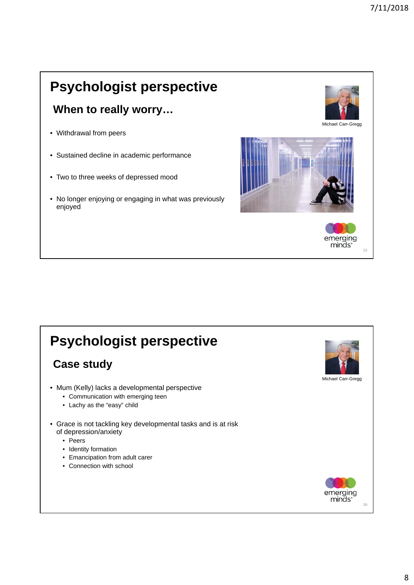# **Psychologist perspective**

#### **When to really worry…**

- Withdrawal from peers
- Sustained decline in academic performance
- Two to three weeks of depressed mood
- No longer enjoying or engaging in what was previously enjoyed



emerging minds<sup>®</sup>

15

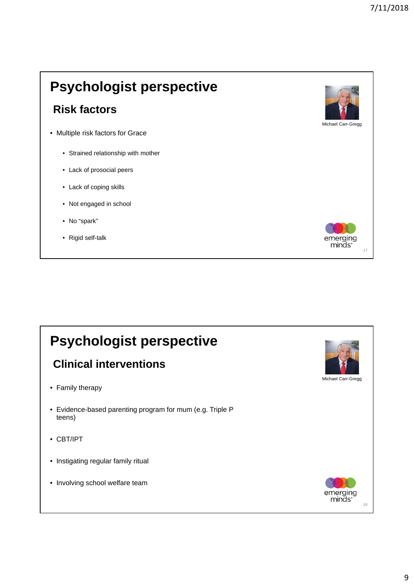# **Psychologist perspective**

#### **Risk factors**

- Multiple risk factors for Grace
	- Strained relationship with mother
	- Lack of prosocial peers
	- Lack of coping skills
	- Not engaged in school
	- No "spark"
	- Rigid self-talk



### **Psychologist perspective Clinical interventions** Michael Carr-Gregg • Family therapy • Evidence-based parenting program for mum (e.g. Triple P teens) • CBT/IPT • Instigating regular family ritual • Involving school welfare teamemerging minds<sup>®</sup> 18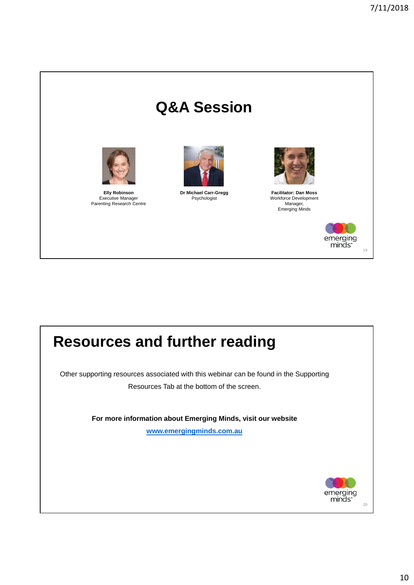# **Q&A Session**



**Elly Robinson** Executive Manager Parenting Research Centre



**Dr Michael Carr-Gregg** Psychologist



**Facilitator: Dan Moss** Workforce Development Manager, Emerging Minds



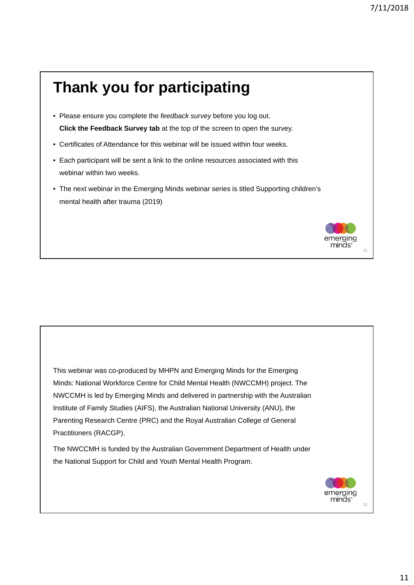## **Thank you for participating** • Please ensure you complete the *feedback survey* before you log out. **Click the Feedback Survey tab** at the top of the screen to open the survey. • Certificates of Attendance for this webinar will be issued within four weeks. • Each participant will be sent a link to the online resources associated with this webinar within two weeks. • The next webinar in the Emerging Minds webinar series is titled Supporting children's mental health after trauma (2019) erging ninds'  $21$